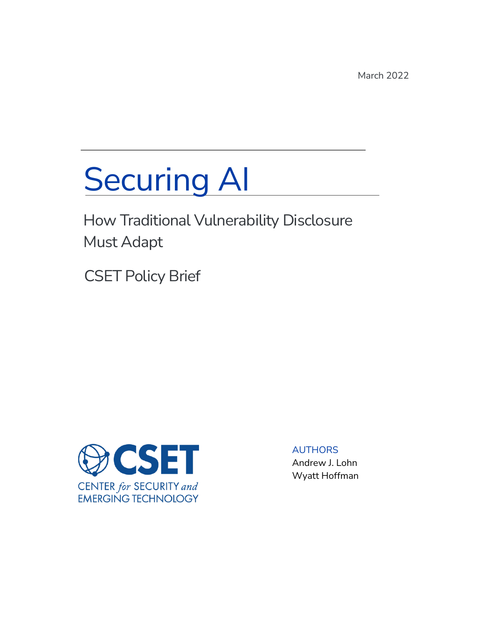March 2022

# Securing AI

How Traditional Vulnerability Disclosure Must Adapt

CSET Policy Brief



AUTHORS Andrew J. Lohn Wyatt Hoffman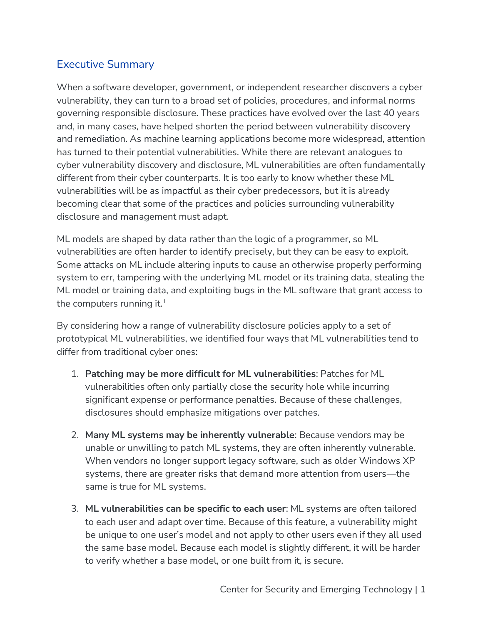## Executive Summary

When a software developer, government, or independent researcher discovers a cyber vulnerability, they can turn to a broad set of policies, procedures, and informal norms governing responsible disclosure. These practices have evolved over the last 40 years and, in many cases, have helped shorten the period between vulnerability discovery and remediation. As machine learning applications become more widespread, attention has turned to their potential vulnerabilities. While there are relevant analogues to cyber vulnerability discovery and disclosure, ML vulnerabilities are often fundamentally different from their cyber counterparts. It is too early to know whether these ML vulnerabilities will be as impactful as their cyber predecessors, but it is already becoming clear that some of the practices and policies surrounding vulnerability disclosure and management must adapt.

ML models are shaped by data rather than the logic of a programmer, so ML vulnerabilities are often harder to identify precisely, but they can be easy to exploit. Some attacks on ML include altering inputs to cause an otherwise properly performing system to err, tampering with the underlying ML model or its training data, stealing the ML model or training data, and exploiting bugs in the ML software that grant access to the computers running it. $1$ 

By considering how a range of vulnerability disclosure policies apply to a set of prototypical ML vulnerabilities, we identified four ways that ML vulnerabilities tend to differ from traditional cyber ones:

- 1. **Patching may be more difficult for ML vulnerabilities**: Patches for ML vulnerabilities often only partially close the security hole while incurring significant expense or performance penalties. Because of these challenges, disclosures should emphasize mitigations over patches.
- 2. **Many ML systems may be inherently vulnerable**: Because vendors may be unable or unwilling to patch ML systems, they are often inherently vulnerable. When vendors no longer support legacy software, such as older Windows XP systems, there are greater risks that demand more attention from users—the same is true for ML systems.
- 3. **ML vulnerabilities can be specific to each user**: ML systems are often tailored to each user and adapt over time. Because of this feature, a vulnerability might be unique to one user's model and not apply to other users even if they all used the same base model. Because each model is slightly different, it will be harder to verify whether a base model, or one built from it, is secure.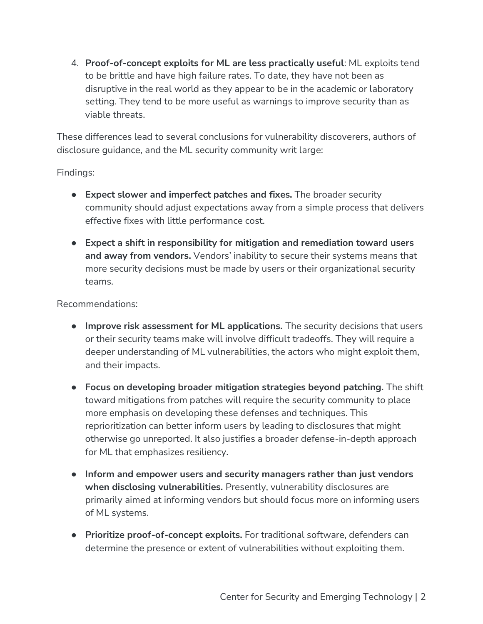4. **Proof-of-concept exploits for ML are less practically useful**: ML exploits tend to be brittle and have high failure rates. To date, they have not been as disruptive in the real world as they appear to be in the academic or laboratory setting. They tend to be more useful as warnings to improve security than as viable threats.

These differences lead to several conclusions for vulnerability discoverers, authors of disclosure guidance, and the ML security community writ large:

Findings:

- **Expect slower and imperfect patches and fixes.** The broader security community should adjust expectations away from a simple process that delivers effective fixes with little performance cost.
- **Expect a shift in responsibility for mitigation and remediation toward users and away from vendors.** Vendors' inability to secure their systems means that more security decisions must be made by users or their organizational security teams.

Recommendations:

- **Improve risk assessment for ML applications.** The security decisions that users or their security teams make will involve difficult tradeoffs. They will require a deeper understanding of ML vulnerabilities, the actors who might exploit them, and their impacts.
- **Focus on developing broader mitigation strategies beyond patching.** The shift toward mitigations from patches will require the security community to place more emphasis on developing these defenses and techniques. This reprioritization can better inform users by leading to disclosures that might otherwise go unreported. It also justifies a broader defense-in-depth approach for ML that emphasizes resiliency.
- **Inform and empower users and security managers rather than just vendors when disclosing vulnerabilities.** Presently, vulnerability disclosures are primarily aimed at informing vendors but should focus more on informing users of ML systems.
- **Prioritize proof-of-concept exploits.** For traditional software, defenders can determine the presence or extent of vulnerabilities without exploiting them.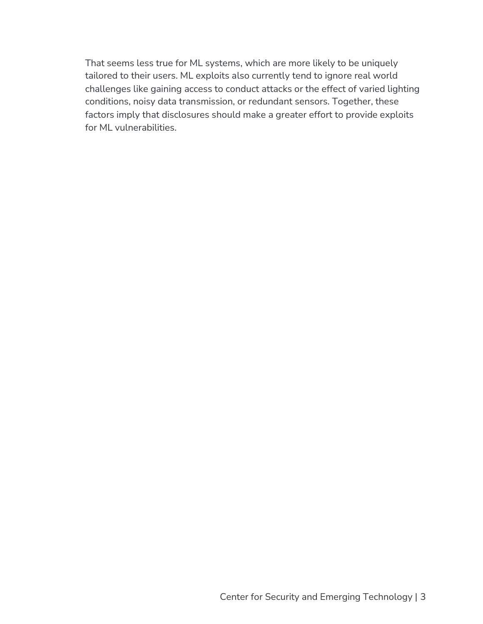That seems less true for ML systems, which are more likely to be uniquely tailored to their users. ML exploits also currently tend to ignore real world challenges like gaining access to conduct attacks or the effect of varied lighting conditions, noisy data transmission, or redundant sensors. Together, these factors imply that disclosures should make a greater effort to provide exploits for ML vulnerabilities.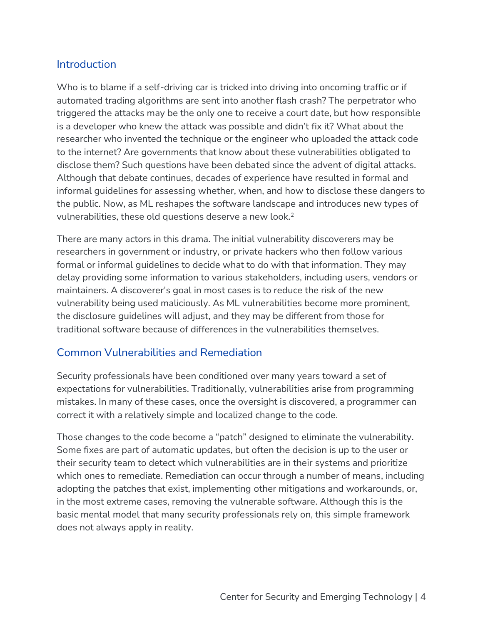#### **Introduction**

Who is to blame if a self-driving car is tricked into driving into oncoming traffic or if automated trading algorithms are sent into another flash crash? The perpetrator who triggered the attacks may be the only one to receive a court date, but how responsible is a developer who knew the attack was possible and didn't fix it? What about the researcher who invented the technique or the engineer who uploaded the attack code to the internet? Are governments that know about these vulnerabilities obligated to disclose them? Such questions have been debated since the advent of digital attacks. Although that debate continues, decades of experience have resulted in formal and informal guidelines for assessing whether, when, and how to disclose these dangers to the public. Now, as ML reshapes the software landscape and introduces new types of vulnerabilities, these old questions deserve a new look.<sup>2</sup>

There are many actors in this drama. The initial vulnerability discoverers may be researchers in government or industry, or private hackers who then follow various formal or informal guidelines to decide what to do with that information. They may delay providing some information to various stakeholders, including users, vendors or maintainers. A discoverer's goal in most cases is to reduce the risk of the new vulnerability being used maliciously. As ML vulnerabilities become more prominent, the disclosure guidelines will adjust, and they may be different from those for traditional software because of differences in the vulnerabilities themselves.

#### Common Vulnerabilities and Remediation

Security professionals have been conditioned over many years toward a set of expectations for vulnerabilities. Traditionally, vulnerabilities arise from programming mistakes. In many of these cases, once the oversight is discovered, a programmer can correct it with a relatively simple and localized change to the code.

Those changes to the code become a "patch" designed to eliminate the vulnerability. Some fixes are part of automatic updates, but often the decision is up to the user or their security team to detect which vulnerabilities are in their systems and prioritize which ones to remediate. Remediation can occur through a number of means, including adopting the patches that exist, implementing other mitigations and workarounds, or, in the most extreme cases, removing the vulnerable software. Although this is the basic mental model that many security professionals rely on, this simple framework does not always apply in reality.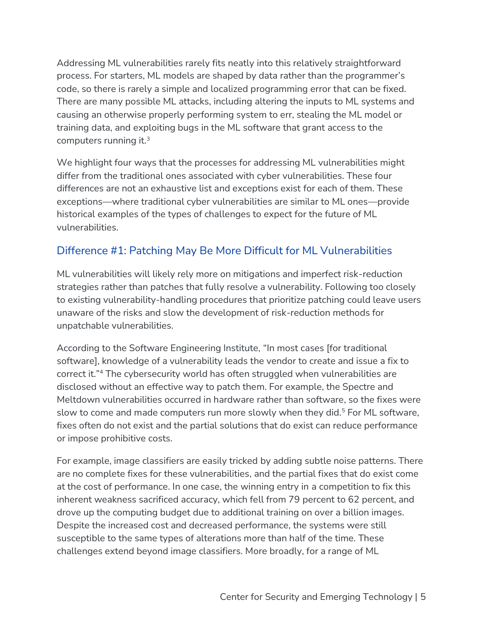Addressing ML vulnerabilities rarely fits neatly into this relatively straightforward process. For starters, ML models are shaped by data rather than the programmer's code, so there is rarely a simple and localized programming error that can be fixed. There are many possible ML attacks, including altering the inputs to ML systems and causing an otherwise properly performing system to err, stealing the ML model or training data, and exploiting bugs in the ML software that grant access to the computers running it.<sup>3</sup>

We highlight four ways that the processes for addressing ML vulnerabilities might differ from the traditional ones associated with cyber vulnerabilities. These four differences are not an exhaustive list and exceptions exist for each of them. These exceptions—where traditional cyber vulnerabilities are similar to ML ones—provide historical examples of the types of challenges to expect for the future of ML vulnerabilities.

# Difference #1: Patching May Be More Difficult for ML Vulnerabilities

ML vulnerabilities will likely rely more on mitigations and imperfect risk-reduction strategies rather than patches that fully resolve a vulnerability. Following too closely to existing vulnerability-handling procedures that prioritize patching could leave users unaware of the risks and slow the development of risk-reduction methods for unpatchable vulnerabilities.

According to the Software Engineering Institute, "In most cases [for traditional software], knowledge of a vulnerability leads the vendor to create and issue a fix to correct it."<sup>4</sup> The cybersecurity world has often struggled when vulnerabilities are disclosed without an effective way to patch them. For example, the Spectre and Meltdown vulnerabilities occurred in hardware rather than software, so the fixes were slow to come and made computers run more slowly when they did.<sup>5</sup> For ML software, fixes often do not exist and the partial solutions that do exist can reduce performance or impose prohibitive costs.

For example, image classifiers are easily tricked by adding subtle noise patterns. There are no complete fixes for these vulnerabilities, and the partial fixes that do exist come at the cost of performance. In one case, the winning entry in a competition to fix this inherent weakness sacrificed accuracy, which fell from 79 percent to 62 percent, and drove up the computing budget due to additional training on over a billion images. Despite the increased cost and decreased performance, the systems were still susceptible to the same types of alterations more than half of the time. These challenges extend beyond image classifiers. More broadly, for a range of ML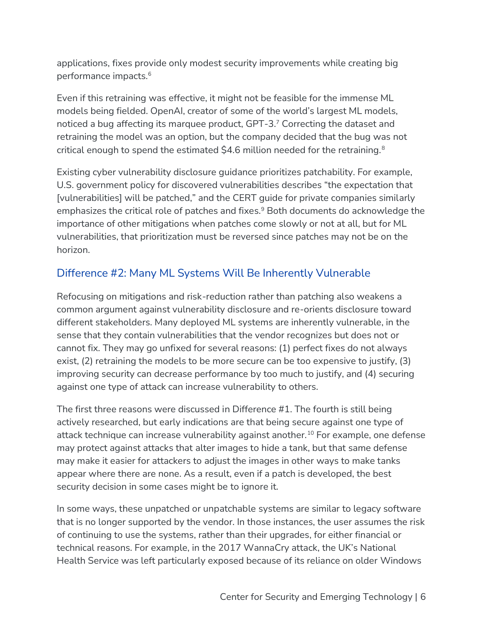applications, fixes provide only modest security improvements while creating big performance impacts.<sup>6</sup>

Even if this retraining was effective, it might not be feasible for the immense ML models being fielded. OpenAI, creator of some of the world's largest ML models, noticed a bug affecting its marquee product, GPT-3.<sup>7</sup> Correcting the dataset and retraining the model was an option, but the company decided that the bug was not critical enough to spend the estimated \$4.6 million needed for the retraining.<sup>8</sup>

Existing cyber vulnerability disclosure guidance prioritizes patchability. For example, U.S. government policy for discovered vulnerabilities describes "the expectation that [vulnerabilities] will be patched," and the CERT guide for private companies similarly emphasizes the critical role of patches and fixes.<sup>9</sup> Both documents do acknowledge the importance of other mitigations when patches come slowly or not at all, but for ML vulnerabilities, that prioritization must be reversed since patches may not be on the horizon.

## Difference #2: Many ML Systems Will Be Inherently Vulnerable

Refocusing on mitigations and risk-reduction rather than patching also weakens a common argument against vulnerability disclosure and re-orients disclosure toward different stakeholders. Many deployed ML systems are inherently vulnerable, in the sense that they contain vulnerabilities that the vendor recognizes but does not or cannot fix. They may go unfixed for several reasons: (1) perfect fixes do not always exist, (2) retraining the models to be more secure can be too expensive to justify, (3) improving security can decrease performance by too much to justify, and (4) securing against one type of attack can increase vulnerability to others.

The first three reasons were discussed in Difference #1. The fourth is still being actively researched, but early indications are that being secure against one type of attack technique can increase vulnerability against another.<sup>10</sup> For example, one defense may protect against attacks that alter images to hide a tank, but that same defense may make it easier for attackers to adjust the images in other ways to make tanks appear where there are none. As a result, even if a patch is developed, the best security decision in some cases might be to ignore it.

In some ways, these unpatched or unpatchable systems are similar to legacy software that is no longer supported by the vendor. In those instances, the user assumes the risk of continuing to use the systems, rather than their upgrades, for either financial or technical reasons. For example, in the 2017 WannaCry attack, the UK's National Health Service was left particularly exposed because of its reliance on older Windows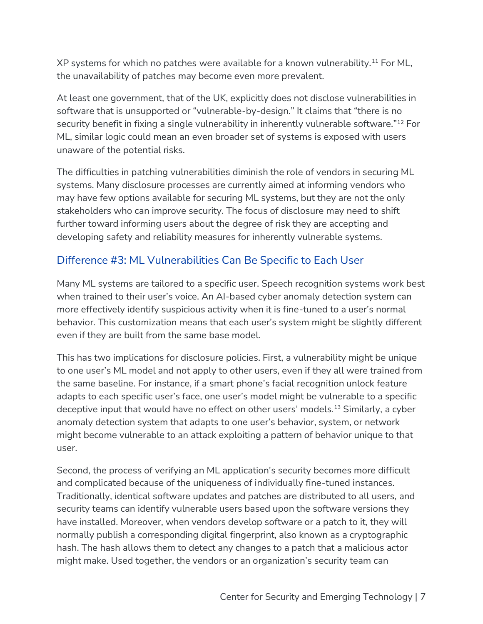XP systems for which no patches were available for a known vulnerability.<sup>11</sup> For ML, the unavailability of patches may become even more prevalent.

At least one government, that of the UK, explicitly does not disclose vulnerabilities in software that is unsupported or "vulnerable-by-design." It claims that "there is no security benefit in fixing a single vulnerability in inherently vulnerable software."<sup>12</sup> For ML, similar logic could mean an even broader set of systems is exposed with users unaware of the potential risks.

The difficulties in patching vulnerabilities diminish the role of vendors in securing ML systems. Many disclosure processes are currently aimed at informing vendors who may have few options available for securing ML systems, but they are not the only stakeholders who can improve security. The focus of disclosure may need to shift further toward informing users about the degree of risk they are accepting and developing safety and reliability measures for inherently vulnerable systems.

## Difference #3: ML Vulnerabilities Can Be Specific to Each User

Many ML systems are tailored to a specific user. Speech recognition systems work best when trained to their user's voice. An AI-based cyber anomaly detection system can more effectively identify suspicious activity when it is fine-tuned to a user's normal behavior. This customization means that each user's system might be slightly different even if they are built from the same base model.

This has two implications for disclosure policies. First, a vulnerability might be unique to one user's ML model and not apply to other users, even if they all were trained from the same baseline. For instance, if a smart phone's facial recognition unlock feature adapts to each specific user's face, one user's model might be vulnerable to a specific deceptive input that would have no effect on other users' models.<sup>13</sup> Similarly, a cyber anomaly detection system that adapts to one user's behavior, system, or network might become vulnerable to an attack exploiting a pattern of behavior unique to that user.

Second, the process of verifying an ML application's security becomes more difficult and complicated because of the uniqueness of individually fine-tuned instances. Traditionally, identical software updates and patches are distributed to all users, and security teams can identify vulnerable users based upon the software versions they have installed. Moreover, when vendors develop software or a patch to it, they will normally publish a corresponding digital fingerprint, also known as a cryptographic hash. The hash allows them to detect any changes to a patch that a malicious actor might make. Used together, the vendors or an organization's security team can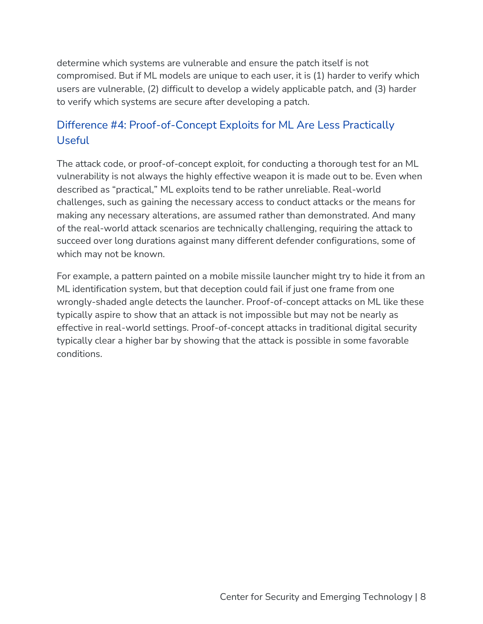determine which systems are vulnerable and ensure the patch itself is not compromised. But if ML models are unique to each user, it is (1) harder to verify which users are vulnerable, (2) difficult to develop a widely applicable patch, and (3) harder to verify which systems are secure after developing a patch.

# Difference #4: Proof-of-Concept Exploits for ML Are Less Practically **Useful**

The attack code, or proof-of-concept exploit, for conducting a thorough test for an ML vulnerability is not always the highly effective weapon it is made out to be. Even when described as "practical," ML exploits tend to be rather unreliable. Real-world challenges, such as gaining the necessary access to conduct attacks or the means for making any necessary alterations, are assumed rather than demonstrated. And many of the real-world attack scenarios are technically challenging, requiring the attack to succeed over long durations against many different defender configurations, some of which may not be known.

For example, a pattern painted on a mobile missile launcher might try to hide it from an ML identification system, but that deception could fail if just one frame from one wrongly-shaded angle detects the launcher. Proof-of-concept attacks on ML like these typically aspire to show that an attack is not impossible but may not be nearly as effective in real-world settings. Proof-of-concept attacks in traditional digital security typically clear a higher bar by showing that the attack is possible in some favorable conditions.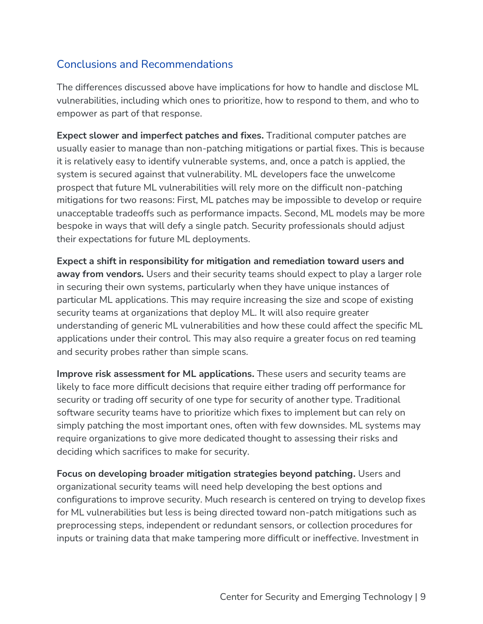# Conclusions and Recommendations

The differences discussed above have implications for how to handle and disclose ML vulnerabilities, including which ones to prioritize, how to respond to them, and who to empower as part of that response.

**Expect slower and imperfect patches and fixes.** Traditional computer patches are usually easier to manage than non-patching mitigations or partial fixes. This is because it is relatively easy to identify vulnerable systems, and, once a patch is applied, the system is secured against that vulnerability. ML developers face the unwelcome prospect that future ML vulnerabilities will rely more on the difficult non-patching mitigations for two reasons: First, ML patches may be impossible to develop or require unacceptable tradeoffs such as performance impacts. Second, ML models may be more bespoke in ways that will defy a single patch. Security professionals should adjust their expectations for future ML deployments.

**Expect a shift in responsibility for mitigation and remediation toward users and away from vendors.** Users and their security teams should expect to play a larger role in securing their own systems, particularly when they have unique instances of particular ML applications. This may require increasing the size and scope of existing security teams at organizations that deploy ML. It will also require greater understanding of generic ML vulnerabilities and how these could affect the specific ML applications under their control. This may also require a greater focus on red teaming and security probes rather than simple scans.

**Improve risk assessment for ML applications.** These users and security teams are likely to face more difficult decisions that require either trading off performance for security or trading off security of one type for security of another type. Traditional software security teams have to prioritize which fixes to implement but can rely on simply patching the most important ones, often with few downsides. ML systems may require organizations to give more dedicated thought to assessing their risks and deciding which sacrifices to make for security.

**Focus on developing broader mitigation strategies beyond patching.** Users and organizational security teams will need help developing the best options and configurations to improve security. Much research is centered on trying to develop fixes for ML vulnerabilities but less is being directed toward non-patch mitigations such as preprocessing steps, independent or redundant sensors, or collection procedures for inputs or training data that make tampering more difficult or ineffective. Investment in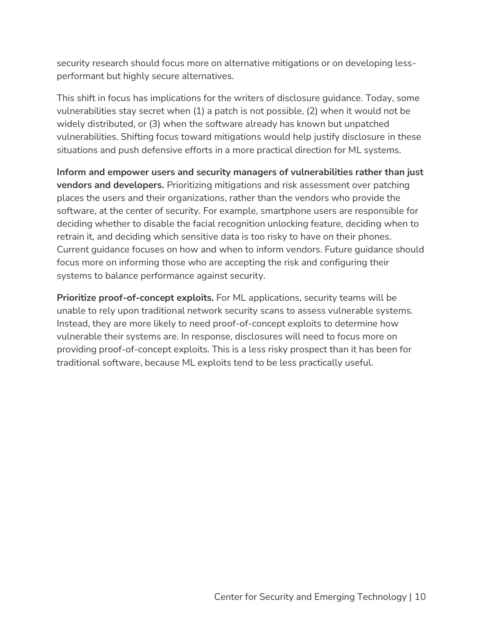security research should focus more on alternative mitigations or on developing lessperformant but highly secure alternatives.

This shift in focus has implications for the writers of disclosure guidance. Today, some vulnerabilities stay secret when (1) a patch is not possible, (2) when it would not be widely distributed, or (3) when the software already has known but unpatched vulnerabilities. Shifting focus toward mitigations would help justify disclosure in these situations and push defensive efforts in a more practical direction for ML systems.

**Inform and empower users and security managers of vulnerabilities rather than just vendors and developers.** Prioritizing mitigations and risk assessment over patching places the users and their organizations, rather than the vendors who provide the software, at the center of security. For example, smartphone users are responsible for deciding whether to disable the facial recognition unlocking feature, deciding when to retrain it, and deciding which sensitive data is too risky to have on their phones. Current guidance focuses on how and when to inform vendors. Future guidance should focus more on informing those who are accepting the risk and configuring their systems to balance performance against security.

**Prioritize proof-of-concept exploits.** For ML applications, security teams will be unable to rely upon traditional network security scans to assess vulnerable systems. Instead, they are more likely to need proof-of-concept exploits to determine how vulnerable their systems are. In response, disclosures will need to focus more on providing proof-of-concept exploits. This is a less risky prospect than it has been for traditional software, because ML exploits tend to be less practically useful.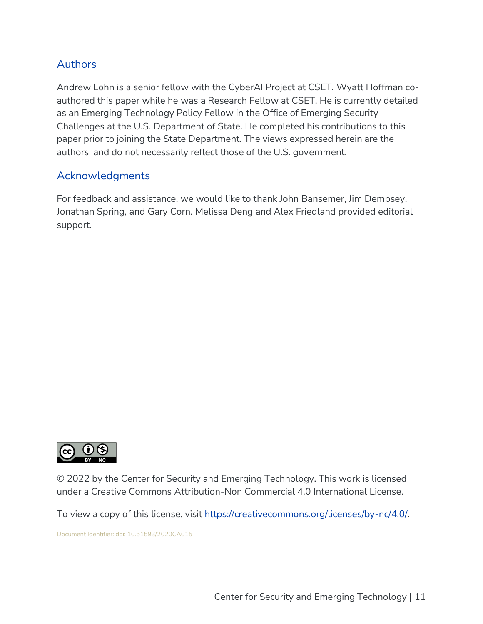#### **Authors**

Andrew Lohn is a senior fellow with the CyberAI Project at CSET. Wyatt Hoffman coauthored this paper while he was a Research Fellow at CSET. He is currently detailed as an Emerging Technology Policy Fellow in the Office of Emerging Security Challenges at the U.S. Department of State. He completed his contributions to this paper prior to joining the State Department. The views expressed herein are the authors' and do not necessarily reflect those of the U.S. government.

#### Acknowledgments

For feedback and assistance, we would like to thank John Bansemer, Jim Dempsey, Jonathan Spring, and Gary Corn. Melissa Deng and Alex Friedland provided editorial support.



© 2022 by the Center for Security and Emerging Technology. This work is licensed under a Creative Commons Attribution-Non Commercial 4.0 International License.

To view a copy of this license, visit [https://creativecommons.org/licenses/by-nc/4.0/.](https://creativecommons.org/licenses/by-nc/4.0/)

Document Identifier: doi: 10.51593/2020CA015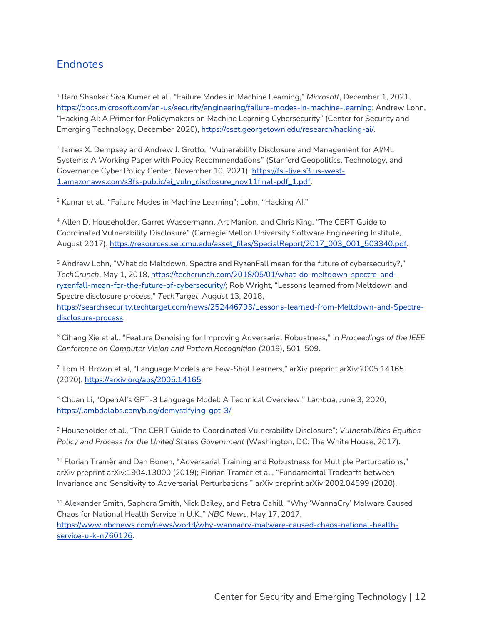#### **Endnotes**

<sup>1</sup> Ram Shankar Siva Kumar et al., "Failure Modes in Machine Learning," *Microsoft*, December 1, 2021, [https://docs.microsoft.com/en-us/security/engineering/failure-modes-in-machine-learning;](https://docs.microsoft.com/en-us/security/engineering/failure-modes-in-machine-learning) Andrew Lohn, "Hacking AI: A Primer for Policymakers on Machine Learning Cybersecurity" (Center for Security and Emerging Technology, December 2020), [https://cset.georgetown.edu/research/hacking-ai/.](https://cset.georgetown.edu/research/hacking-ai/)

2 James X. Dempsey and Andrew J. Grotto, "Vulnerability Disclosure and Management for AI/ML Systems: A Working Paper with Policy Recommendations" (Stanford Geopolitics, Technology, and Governance Cyber Policy Center, November 10, 2021), [https://fsi-live.s3.us-west-](https://fsi-live.s3.us-west-1.amazonaws.com/s3fs-public/ai_vuln_disclosure_nov11final-pdf_1.pdf)[1.amazonaws.com/s3fs-public/ai\\_vuln\\_disclosure\\_nov11final-pdf\\_1.pdf.](https://fsi-live.s3.us-west-1.amazonaws.com/s3fs-public/ai_vuln_disclosure_nov11final-pdf_1.pdf)

<sup>3</sup> Kumar et al., "Failure Modes in Machine Learning"; Lohn, "Hacking Al."

<sup>4</sup> Allen D. Householder, Garret Wassermann, Art Manion, and Chris King, "The CERT Guide to Coordinated Vulnerability Disclosure" (Carnegie Mellon University Software Engineering Institute, August 2017), [https://resources.sei.cmu.edu/asset\\_files/SpecialReport/2017\\_003\\_001\\_503340.pdf.](https://resources.sei.cmu.edu/asset_files/SpecialReport/2017_003_001_503340.pdf)

<sup>5</sup> Andrew Lohn, "What do Meltdown, Spectre and RyzenFall mean for the future of cybersecurity?," *TechCrunch*, May 1, 2018, [https://techcrunch.com/2018/05/01/what-do-meltdown-spectre-and](https://techcrunch.com/2018/05/01/what-do-meltdown-spectre-and-ryzenfall-mean-for-the-future-of-cybersecurity/)[ryzenfall-mean-for-the-future-of-cybersecurity/;](https://techcrunch.com/2018/05/01/what-do-meltdown-spectre-and-ryzenfall-mean-for-the-future-of-cybersecurity/) Rob Wright, "Lessons learned from Meltdown and Spectre disclosure process," *TechTarget*, August 13, 2018, [https://searchsecurity.techtarget.com/news/252446793/Lessons-learned-from-Meltdown-and-Spectre](https://searchsecurity.techtarget.com/news/252446793/Lessons-learned-from-Meltdown-and-Spectre-disclosure-process)[disclosure-process.](https://searchsecurity.techtarget.com/news/252446793/Lessons-learned-from-Meltdown-and-Spectre-disclosure-process)

<sup>6</sup> Cihang Xie et al., "Feature Denoising for Improving Adversarial Robustness," in *Proceedings of the IEEE Conference on Computer Vision and Pattern Recognition* (2019), 501–509.

 $7$  Tom B. Brown et al, "Language Models are Few-Shot Learners," arXiv preprint arXiv: 2005.14165 (2020), [https://arxiv.org/abs/2005.14165.](https://arxiv.org/abs/2005.14165)

<sup>8</sup> Chuan Li, "OpenAI's GPT-3 Language Model: A Technical Overview," *Lambda*, June 3, 2020, [https://lambdalabs.com/blog/demystifying-gpt-3/.](https://lambdalabs.com/blog/demystifying-gpt-3/)

<sup>9</sup> Householder et al., "The CERT Guide to Coordinated Vulnerability Disclosure"; *Vulnerabilities Equities Policy and Process for the United States Government* (Washington, DC: The White House, 2017).

 $10$  Florian Tramèr and Dan Boneh, "Adversarial Training and Robustness for Multiple Perturbations," arXiv preprint arXiv:1904.13000 (2019); Florian Tramèr et al., "Fundamental Tradeoffs between Invariance and Sensitivity to Adversarial Perturbations," arXiv preprint arXiv:2002.04599 (2020).

<sup>11</sup> Alexander Smith, Saphora Smith, Nick Bailey, and Petra Cahill, "Why 'WannaCry' Malware Caused Chaos for National Health Service in U.K.," *NBC News*, May 17, 2017, [https://www.nbcnews.com/news/world/why-wannacry-malware-caused-chaos-national-health](https://www.nbcnews.com/news/world/why-wannacry-malware-caused-chaos-national-health-service-u-k-n760126)[service-u-k-n760126.](https://www.nbcnews.com/news/world/why-wannacry-malware-caused-chaos-national-health-service-u-k-n760126)